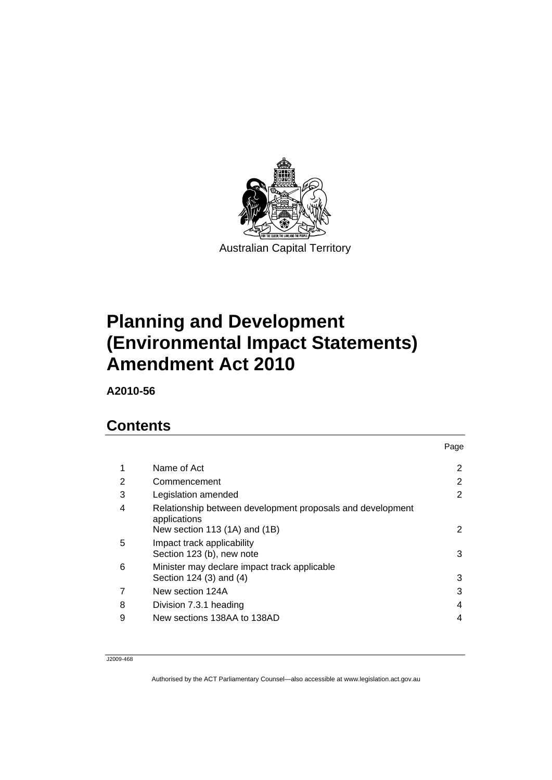

# **[Planning and Development](#page-2-0)  [\(Environmental Impact Statements\)](#page-2-0)  [Amendment Act 2010](#page-2-0)**

**A2010-56** 

# **Contents**

|                                                                                                             | Page |
|-------------------------------------------------------------------------------------------------------------|------|
| Name of Act                                                                                                 | 2    |
| Commencement                                                                                                | 2    |
| Legislation amended                                                                                         | 2    |
| Relationship between development proposals and development<br>applications<br>New section 113 (1A) and (1B) | 2    |
| Impact track applicability<br>Section 123 (b), new note                                                     | 3    |
| Minister may declare impact track applicable<br>Section 124 (3) and (4)                                     | 3    |
| New section 124A                                                                                            | 3    |
| Division 7.3.1 heading                                                                                      | 4    |
| New sections 138AA to 138AD                                                                                 | 4    |
|                                                                                                             |      |

J2009-468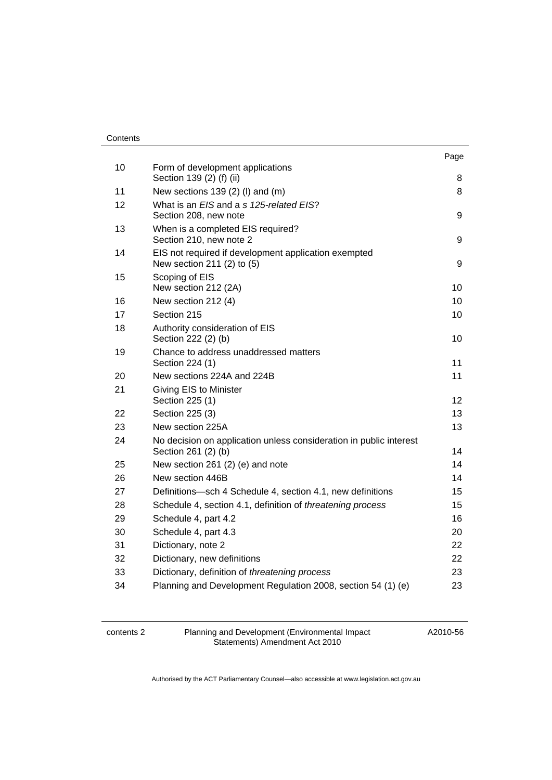#### **Contents**

|    |                                                                                           | Page |
|----|-------------------------------------------------------------------------------------------|------|
| 10 | Form of development applications<br>Section 139 (2) (f) (ii)                              | 8    |
| 11 | New sections $139(2)$ (I) and (m)                                                         | 8    |
| 12 | What is an EIS and a s 125-related EIS?<br>Section 208, new note                          | 9    |
| 13 | When is a completed EIS required?<br>Section 210, new note 2                              | 9    |
| 14 | EIS not required if development application exempted<br>New section 211 (2) to (5)        | 9    |
| 15 | Scoping of EIS<br>New section 212 (2A)                                                    | 10   |
| 16 | New section 212 (4)                                                                       | 10   |
| 17 | Section 215                                                                               | 10   |
| 18 | Authority consideration of EIS<br>Section 222 (2) (b)                                     | 10   |
| 19 | Chance to address unaddressed matters<br>Section 224 (1)                                  | 11   |
| 20 | New sections 224A and 224B                                                                | 11   |
| 21 | Giving EIS to Minister<br>Section 225 (1)                                                 | 12   |
| 22 | Section 225 (3)                                                                           | 13   |
| 23 | New section 225A                                                                          | 13   |
| 24 | No decision on application unless consideration in public interest<br>Section 261 (2) (b) | 14   |
| 25 | New section 261 (2) (e) and note                                                          | 14   |
| 26 | New section 446B                                                                          | 14   |
| 27 | Definitions-sch 4 Schedule 4, section 4.1, new definitions                                | 15   |
| 28 | Schedule 4, section 4.1, definition of threatening process                                | 15   |
| 29 | Schedule 4, part 4.2                                                                      | 16   |
| 30 | Schedule 4, part 4.3                                                                      | 20   |
| 31 | Dictionary, note 2                                                                        | 22   |
| 32 | Dictionary, new definitions                                                               | 22   |
| 33 | Dictionary, definition of threatening process                                             | 23   |
| 34 | Planning and Development Regulation 2008, section 54 (1) (e)                              | 23   |

contents 2 Planning and Development (Environmental Impact Statements) Amendment Act 2010

A2010-56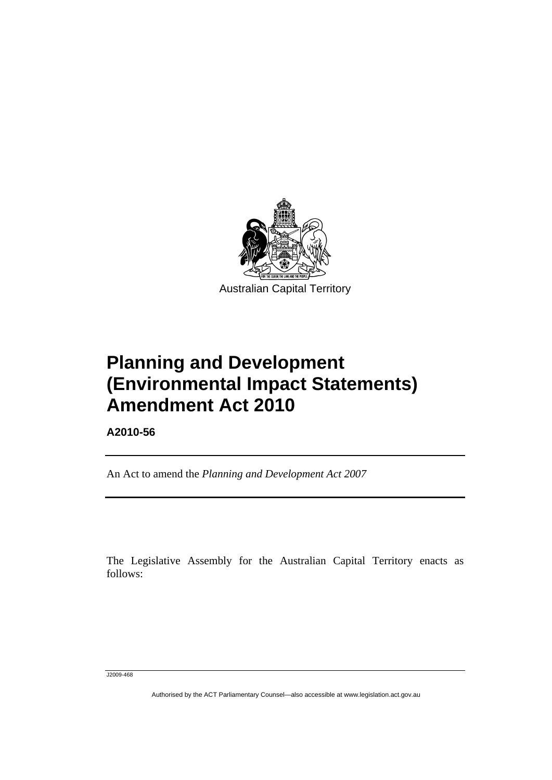<span id="page-2-0"></span>

# **Planning and Development (Environmental Impact Statements) Amendment Act 2010**

**A2010-56** 

ׅ֚֡֡֡֡֬֝

An Act to amend the *Planning and Development Act 2007*

The Legislative Assembly for the Australian Capital Territory enacts as follows:

J2009-468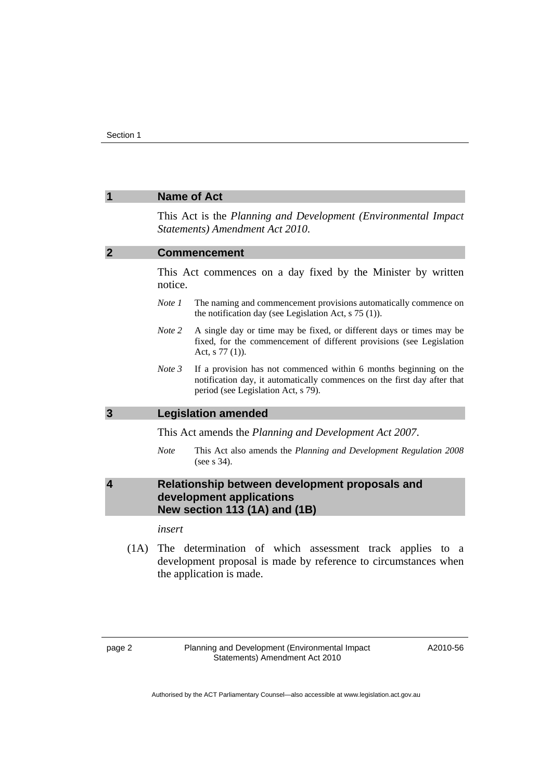<span id="page-3-0"></span>

|                         |             | <b>Name of Act</b>                                                                                                                                                                   |
|-------------------------|-------------|--------------------------------------------------------------------------------------------------------------------------------------------------------------------------------------|
|                         |             | This Act is the Planning and Development (Environmental Impact)<br>Statements) Amendment Act 2010.                                                                                   |
| $\overline{2}$          |             | <b>Commencement</b>                                                                                                                                                                  |
|                         | notice.     | This Act commences on a day fixed by the Minister by written                                                                                                                         |
|                         | Note 1      | The naming and commencement provisions automatically commence on<br>the notification day (see Legislation Act, $s$ 75 (1)).                                                          |
|                         | Note 2      | A single day or time may be fixed, or different days or times may be<br>fixed, for the commencement of different provisions (see Legislation<br>Act, $s$ 77 (1)).                    |
|                         | Note 3      | If a provision has not commenced within 6 months beginning on the<br>notification day, it automatically commences on the first day after that<br>period (see Legislation Act, s 79). |
| 3                       |             | <b>Legislation amended</b>                                                                                                                                                           |
|                         |             | This Act amends the Planning and Development Act 2007.                                                                                                                               |
|                         | <b>Note</b> | This Act also amends the Planning and Development Regulation 2008<br>(see $s$ 34).                                                                                                   |
| $\overline{\mathbf{4}}$ |             | Relationship between development proposals and<br>development applications<br>New section 113 (1A) and (1B)                                                                          |
|                         | insert      |                                                                                                                                                                                      |
| $(1 \wedge$             |             | The determination of which cooccanont twelve analize to                                                                                                                              |

 (1A) The determination of which assessment track applies to a development proposal is made by reference to circumstances when the application is made.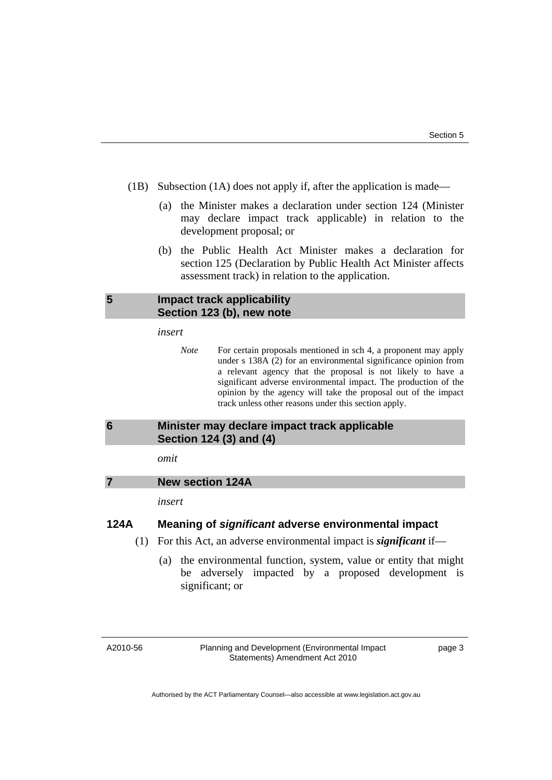- <span id="page-4-0"></span> (1B) Subsection (1A) does not apply if, after the application is made—
	- (a) the Minister makes a declaration under section 124 (Minister may declare impact track applicable) in relation to the development proposal; or
	- (b) the Public Health Act Minister makes a declaration for section 125 (Declaration by Public Health Act Minister affects assessment track) in relation to the application.

### **5 Impact track applicability Section 123 (b), new note**

#### *insert*

*Note* For certain proposals mentioned in sch 4, a proponent may apply under s 138A (2) for an environmental significance opinion from a relevant agency that the proposal is not likely to have a significant adverse environmental impact. The production of the opinion by the agency will take the proposal out of the impact track unless other reasons under this section apply.

# **6 Minister may declare impact track applicable Section 124 (3) and (4)**

#### *omit*

#### **7 New section 124A**

*insert* 

### **124A Meaning of** *significant* **adverse environmental impact**

- (1) For this Act, an adverse environmental impact is *significant* if—
	- (a) the environmental function, system, value or entity that might be adversely impacted by a proposed development is significant; or

A2010-56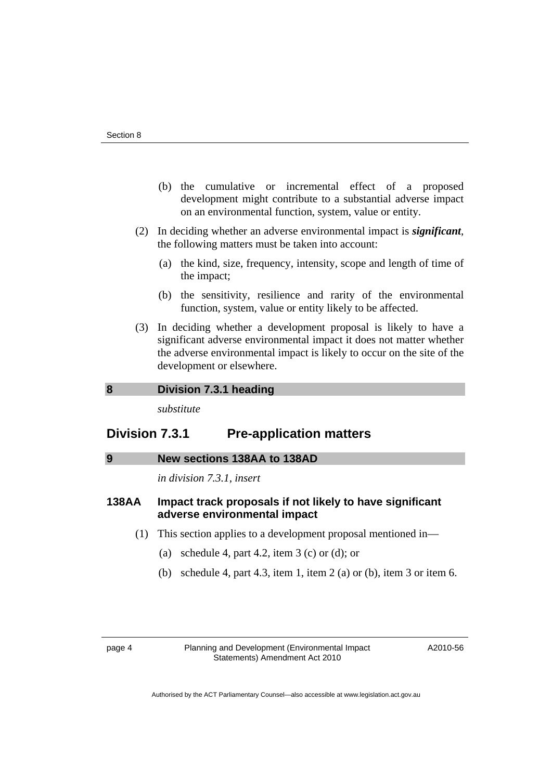- <span id="page-5-0"></span> (b) the cumulative or incremental effect of a proposed development might contribute to a substantial adverse impact on an environmental function, system, value or entity.
- (2) In deciding whether an adverse environmental impact is *significant*, the following matters must be taken into account:
	- (a) the kind, size, frequency, intensity, scope and length of time of the impact;
	- (b) the sensitivity, resilience and rarity of the environmental function, system, value or entity likely to be affected.
- (3) In deciding whether a development proposal is likely to have a significant adverse environmental impact it does not matter whether the adverse environmental impact is likely to occur on the site of the development or elsewhere.

# **8 Division 7.3.1 heading**

*substitute* 

# **Division 7.3.1 Pre-application matters**

#### **9 New sections 138AA to 138AD**

*in division 7.3.1, insert* 

#### **138AA Impact track proposals if not likely to have significant adverse environmental impact**

- (1) This section applies to a development proposal mentioned in—
	- (a) schedule 4, part 4.2, item  $3$  (c) or (d); or
	- (b) schedule 4, part 4.3, item 1, item 2 (a) or (b), item 3 or item 6.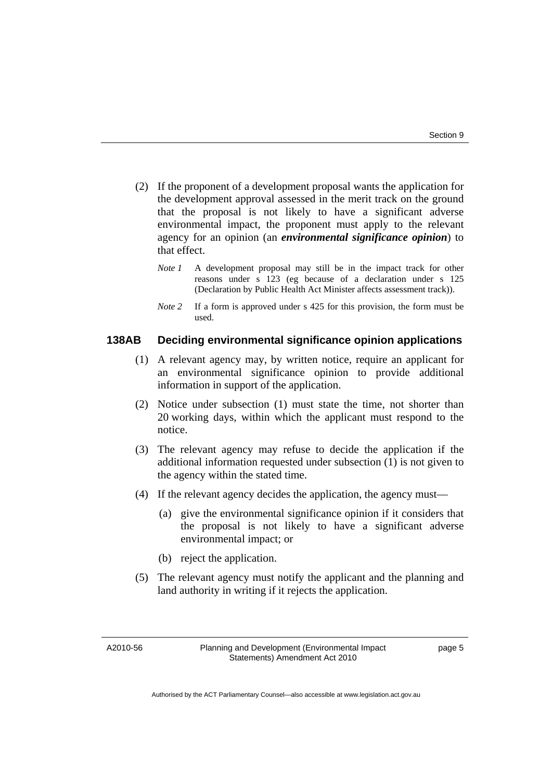- (2) If the proponent of a development proposal wants the application for the development approval assessed in the merit track on the ground that the proposal is not likely to have a significant adverse environmental impact, the proponent must apply to the relevant agency for an opinion (an *environmental significance opinion*) to that effect.
	- *Note 1* A development proposal may still be in the impact track for other reasons under s 123 (eg because of a declaration under s 125 (Declaration by Public Health Act Minister affects assessment track)).
	- *Note* 2 If a form is approved under s 425 for this provision, the form must be used.

# **138AB Deciding environmental significance opinion applications**

- (1) A relevant agency may, by written notice, require an applicant for an environmental significance opinion to provide additional information in support of the application.
- (2) Notice under subsection (1) must state the time, not shorter than 20 working days, within which the applicant must respond to the notice.
- (3) The relevant agency may refuse to decide the application if the additional information requested under subsection (1) is not given to the agency within the stated time.
- (4) If the relevant agency decides the application, the agency must—
	- (a) give the environmental significance opinion if it considers that the proposal is not likely to have a significant adverse environmental impact; or
	- (b) reject the application.
- (5) The relevant agency must notify the applicant and the planning and land authority in writing if it rejects the application.

A2010-56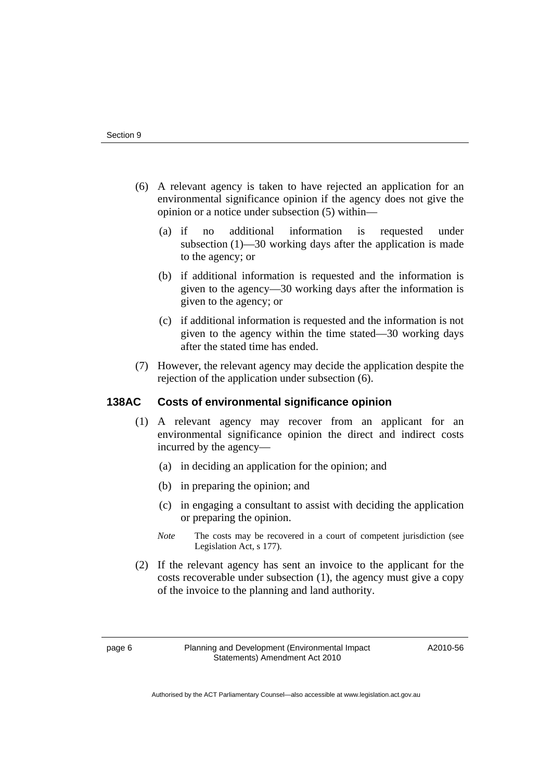- (6) A relevant agency is taken to have rejected an application for an environmental significance opinion if the agency does not give the opinion or a notice under subsection (5) within—
	- (a) if no additional information is requested under subsection (1)—30 working days after the application is made to the agency; or
	- (b) if additional information is requested and the information is given to the agency—30 working days after the information is given to the agency; or
	- (c) if additional information is requested and the information is not given to the agency within the time stated—30 working days after the stated time has ended.
- (7) However, the relevant agency may decide the application despite the rejection of the application under subsection (6).

### **138AC Costs of environmental significance opinion**

- (1) A relevant agency may recover from an applicant for an environmental significance opinion the direct and indirect costs incurred by the agency—
	- (a) in deciding an application for the opinion; and
	- (b) in preparing the opinion; and
	- (c) in engaging a consultant to assist with deciding the application or preparing the opinion.
	- *Note* The costs may be recovered in a court of competent jurisdiction (see Legislation Act, s 177).
- (2) If the relevant agency has sent an invoice to the applicant for the costs recoverable under subsection (1), the agency must give a copy of the invoice to the planning and land authority.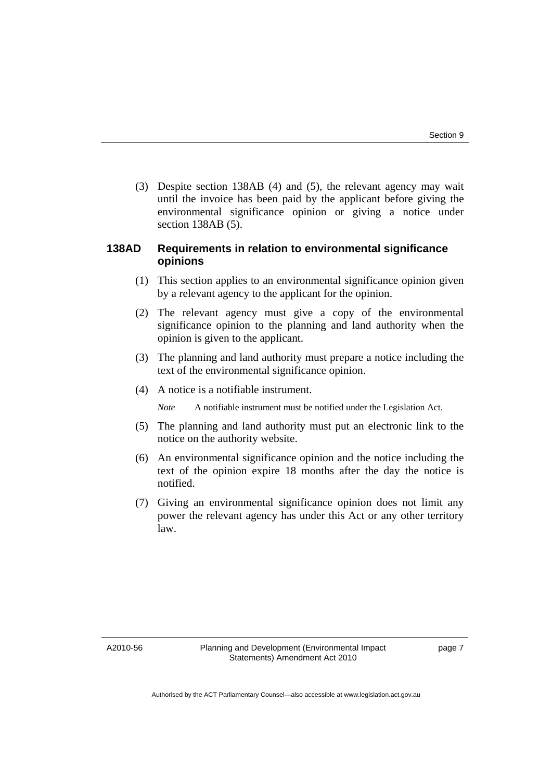(3) Despite section 138AB (4) and (5), the relevant agency may wait until the invoice has been paid by the applicant before giving the environmental significance opinion or giving a notice under section 138AB (5).

# **138AD Requirements in relation to environmental significance opinions**

- (1) This section applies to an environmental significance opinion given by a relevant agency to the applicant for the opinion.
- (2) The relevant agency must give a copy of the environmental significance opinion to the planning and land authority when the opinion is given to the applicant.
- (3) The planning and land authority must prepare a notice including the text of the environmental significance opinion.
- (4) A notice is a notifiable instrument.

*Note* A notifiable instrument must be notified under the Legislation Act.

- (5) The planning and land authority must put an electronic link to the notice on the authority website.
- (6) An environmental significance opinion and the notice including the text of the opinion expire 18 months after the day the notice is notified.
- (7) Giving an environmental significance opinion does not limit any power the relevant agency has under this Act or any other territory law.

A2010-56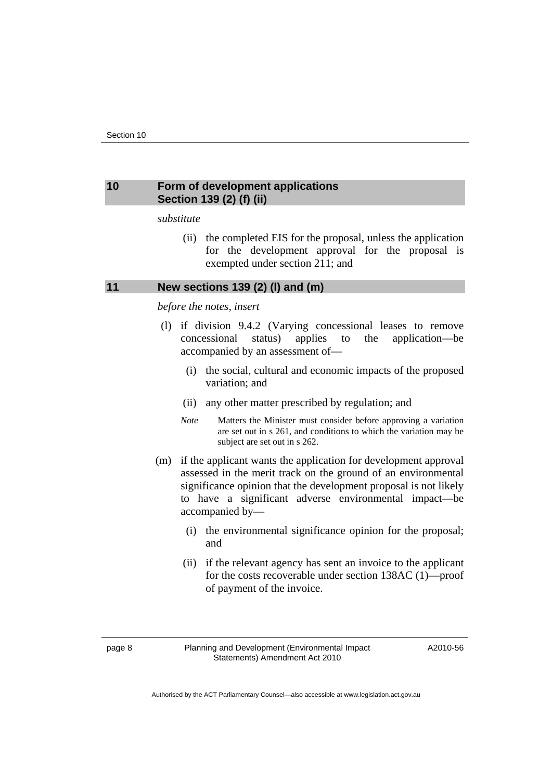#### <span id="page-9-0"></span>**10 Form of development applications Section 139 (2) (f) (ii)**

*substitute* 

 (ii) the completed EIS for the proposal, unless the application for the development approval for the proposal is exempted under section 211; and

#### **11 New sections 139 (2) (l) and (m)**

#### *before the notes, insert*

- (l) if division 9.4.2 (Varying concessional leases to remove concessional status) applies to the application—be accompanied by an assessment of—
	- (i) the social, cultural and economic impacts of the proposed variation; and
	- (ii) any other matter prescribed by regulation; and
	- *Note* Matters the Minister must consider before approving a variation are set out in s 261, and conditions to which the variation may be subject are set out in s 262.
- (m) if the applicant wants the application for development approval assessed in the merit track on the ground of an environmental significance opinion that the development proposal is not likely to have a significant adverse environmental impact—be accompanied by—
	- (i) the environmental significance opinion for the proposal; and
	- (ii) if the relevant agency has sent an invoice to the applicant for the costs recoverable under section 138AC (1)—proof of payment of the invoice.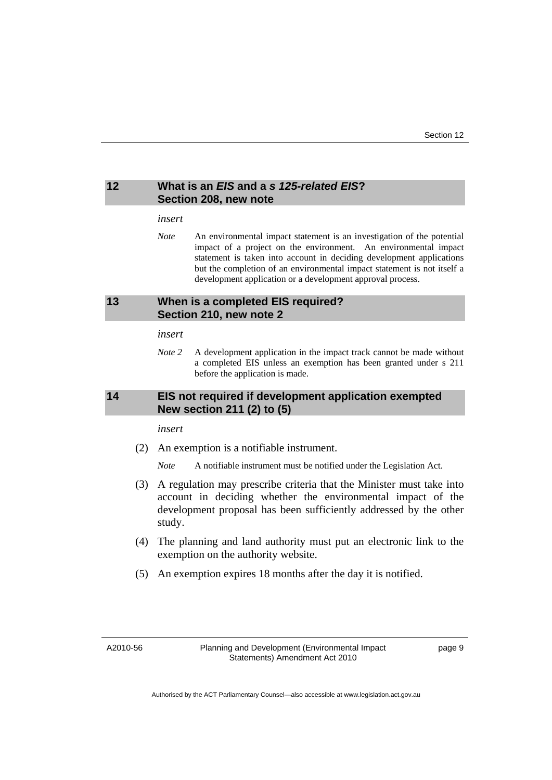#### <span id="page-10-0"></span>**12 What is an** *EIS* **and a** *s 125-related EIS***? Section 208, new note**

#### *insert*

*Note* An environmental impact statement is an investigation of the potential impact of a project on the environment. An environmental impact statement is taken into account in deciding development applications but the completion of an environmental impact statement is not itself a development application or a development approval process.

#### **13 When is a completed EIS required? Section 210, new note 2**

#### *insert*

*Note 2* A development application in the impact track cannot be made without a completed EIS unless an exemption has been granted under s 211 before the application is made.

#### **14 EIS not required if development application exempted New section 211 (2) to (5)**

#### *insert*

(2) An exemption is a notifiable instrument.

*Note* A notifiable instrument must be notified under the Legislation Act.

- (3) A regulation may prescribe criteria that the Minister must take into account in deciding whether the environmental impact of the development proposal has been sufficiently addressed by the other study.
- (4) The planning and land authority must put an electronic link to the exemption on the authority website.
- (5) An exemption expires 18 months after the day it is notified.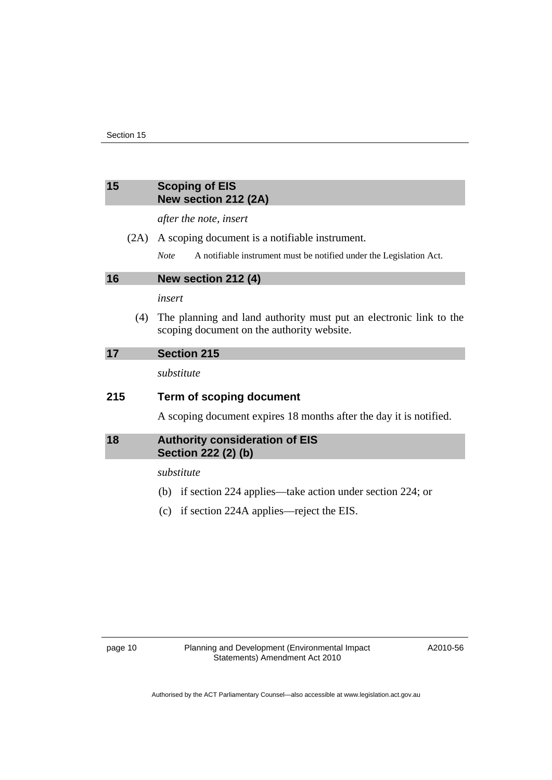#### <span id="page-11-0"></span>**15 Scoping of EIS New section 212 (2A)**

*after the note, insert* 

- (2A) A scoping document is a notifiable instrument.
	- *Note* A notifiable instrument must be notified under the Legislation Act.

**16 New section 212 (4)** 

*insert* 

 (4) The planning and land authority must put an electronic link to the scoping document on the authority website.

#### **17 Section 215**

*substitute* 

#### **215 Term of scoping document**

A scoping document expires 18 months after the day it is notified.

#### **18 Authority consideration of EIS Section 222 (2) (b)**

*substitute* 

- (b) if section 224 applies—take action under section 224; or
- (c) if section 224A applies—reject the EIS.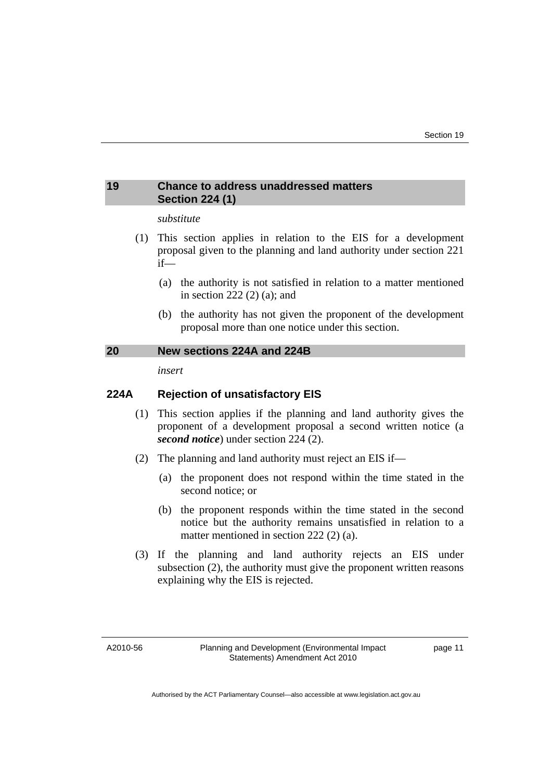## <span id="page-12-0"></span>**19 Chance to address unaddressed matters Section 224 (1)**

#### *substitute*

- (1) This section applies in relation to the EIS for a development proposal given to the planning and land authority under section 221 if—
	- (a) the authority is not satisfied in relation to a matter mentioned in section 222 (2) (a); and
	- (b) the authority has not given the proponent of the development proposal more than one notice under this section.

#### **20 New sections 224A and 224B**

*insert* 

# **224A Rejection of unsatisfactory EIS**

- (1) This section applies if the planning and land authority gives the proponent of a development proposal a second written notice (a *second notice*) under section 224 (2).
- (2) The planning and land authority must reject an EIS if—
	- (a) the proponent does not respond within the time stated in the second notice; or
	- (b) the proponent responds within the time stated in the second notice but the authority remains unsatisfied in relation to a matter mentioned in section 222 (2) (a).
- (3) If the planning and land authority rejects an EIS under subsection (2), the authority must give the proponent written reasons explaining why the EIS is rejected.

A2010-56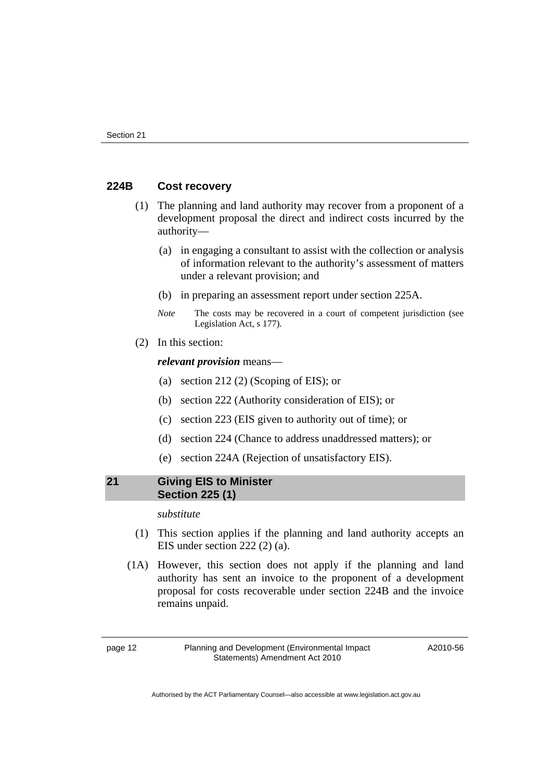#### <span id="page-13-0"></span>**224B Cost recovery**

- (1) The planning and land authority may recover from a proponent of a development proposal the direct and indirect costs incurred by the authority—
	- (a) in engaging a consultant to assist with the collection or analysis of information relevant to the authority's assessment of matters under a relevant provision; and
	- (b) in preparing an assessment report under section 225A.
	- *Note* The costs may be recovered in a court of competent jurisdiction (see Legislation Act, s 177).
- (2) In this section:

*relevant provision* means—

- (a) section 212 (2) (Scoping of EIS); or
- (b) section 222 (Authority consideration of EIS); or
- (c) section 223 (EIS given to authority out of time); or
- (d) section 224 (Chance to address unaddressed matters); or
- (e) section 224A (Rejection of unsatisfactory EIS).

## **21 Giving EIS to Minister Section 225 (1)**

*substitute* 

- (1) This section applies if the planning and land authority accepts an EIS under section 222 (2) (a).
- (1A) However, this section does not apply if the planning and land authority has sent an invoice to the proponent of a development proposal for costs recoverable under section 224B and the invoice remains unpaid.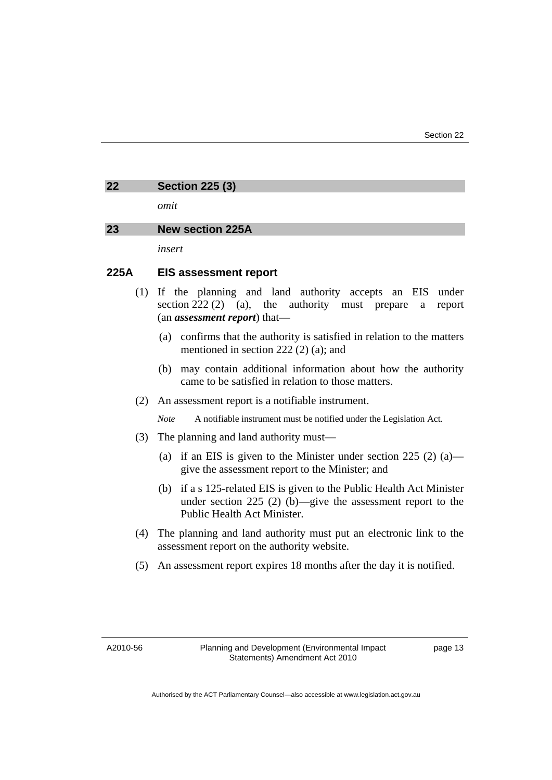#### <span id="page-14-0"></span>**22 Section 225 (3)**

*omit* 

#### **23 New section 225A**

*insert* 

#### **225A EIS assessment report**

- (1) If the planning and land authority accepts an EIS under section 222 (2) (a), the authority must prepare a report (an *assessment report*) that—
	- (a) confirms that the authority is satisfied in relation to the matters mentioned in section 222 (2) (a); and
	- (b) may contain additional information about how the authority came to be satisfied in relation to those matters.
- (2) An assessment report is a notifiable instrument.

*Note* A notifiable instrument must be notified under the Legislation Act.

- (3) The planning and land authority must—
	- (a) if an EIS is given to the Minister under section 225  $(2)$  (a) give the assessment report to the Minister; and
	- (b) if a s 125-related EIS is given to the Public Health Act Minister under section 225 (2) (b)—give the assessment report to the Public Health Act Minister.
- (4) The planning and land authority must put an electronic link to the assessment report on the authority website.
- (5) An assessment report expires 18 months after the day it is notified.

A2010-56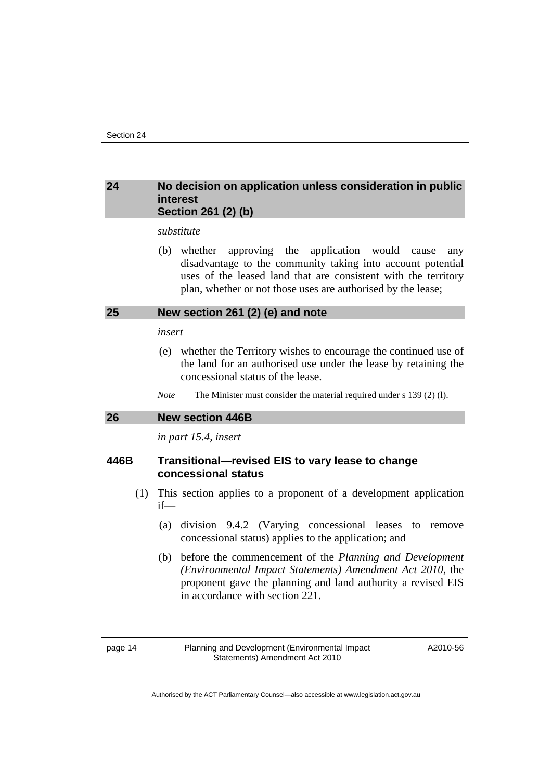#### <span id="page-15-0"></span>**24 No decision on application unless consideration in public interest Section 261 (2) (b)**

*substitute* 

 (b) whether approving the application would cause any disadvantage to the community taking into account potential uses of the leased land that are consistent with the territory plan, whether or not those uses are authorised by the lease;

#### **25 New section 261 (2) (e) and note**

#### *insert*

- (e) whether the Territory wishes to encourage the continued use of the land for an authorised use under the lease by retaining the concessional status of the lease.
- *Note* The Minister must consider the material required under s 139 (2) (1).

#### **26 New section 446B**

*in part 15.4, insert* 

#### **446B Transitional—revised EIS to vary lease to change concessional status**

- (1) This section applies to a proponent of a development application if—
	- (a) division 9.4.2 (Varying concessional leases to remove concessional status) applies to the application; and
	- (b) before the commencement of the *Planning and Development (Environmental Impact Statements) Amendment Act 2010*, the proponent gave the planning and land authority a revised EIS in accordance with section 221.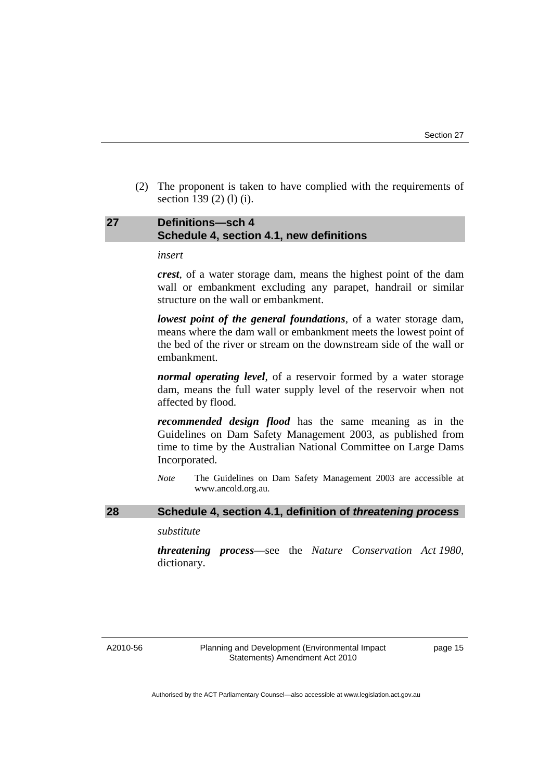<span id="page-16-0"></span> (2) The proponent is taken to have complied with the requirements of section 139 (2) (1) (i).

#### **27 Definitions—sch 4 Schedule 4, section 4.1, new definitions**

#### *insert*

*crest*, of a water storage dam, means the highest point of the dam wall or embankment excluding any parapet, handrail or similar structure on the wall or embankment.

*lowest point of the general foundations*, of a water storage dam, means where the dam wall or embankment meets the lowest point of the bed of the river or stream on the downstream side of the wall or embankment.

*normal operating level*, of a reservoir formed by a water storage dam, means the full water supply level of the reservoir when not affected by flood.

*recommended design flood* has the same meaning as in the Guidelines on Dam Safety Management 2003, as published from time to time by the Australian National Committee on Large Dams Incorporated.

*Note* The Guidelines on Dam Safety Management 2003 are accessible at www.ancold.org.au.

#### **28 Schedule 4, section 4.1, definition of** *threatening process*

#### *substitute*

*threatening process*—see the *Nature Conservation Act 1980*, dictionary.

A2010-56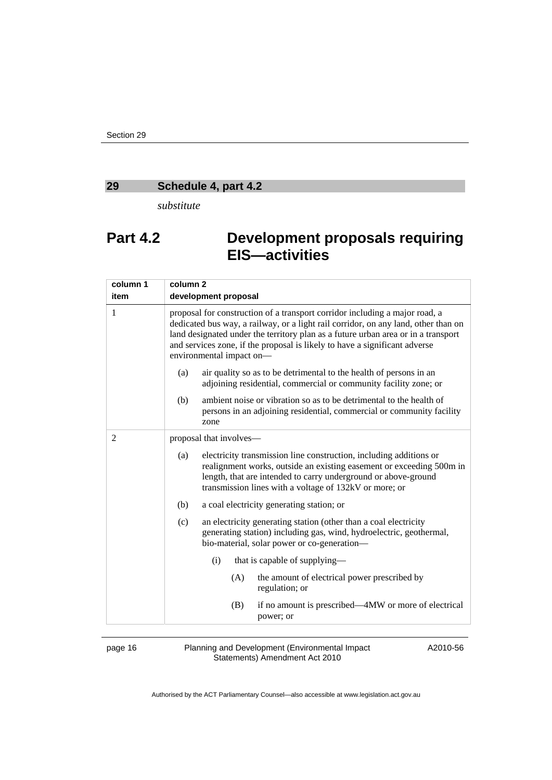# <span id="page-17-0"></span>**29 Schedule 4, part 4.2**

*substitute* 

# **Part 4.2 Development proposals requiring EIS—activities**

| column 1 | column <sub>2</sub>                                                                                                                                                                                                                                                                                                                                              |
|----------|------------------------------------------------------------------------------------------------------------------------------------------------------------------------------------------------------------------------------------------------------------------------------------------------------------------------------------------------------------------|
| item     | development proposal                                                                                                                                                                                                                                                                                                                                             |
| 1        | proposal for construction of a transport corridor including a major road, a<br>dedicated bus way, a railway, or a light rail corridor, on any land, other than on<br>land designated under the territory plan as a future urban area or in a transport<br>and services zone, if the proposal is likely to have a significant adverse<br>environmental impact on- |
|          | air quality so as to be detrimental to the health of persons in an<br>(a)<br>adjoining residential, commercial or community facility zone; or                                                                                                                                                                                                                    |
|          | ambient noise or vibration so as to be detrimental to the health of<br>(b)<br>persons in an adjoining residential, commercial or community facility<br>zone                                                                                                                                                                                                      |
| 2        | proposal that involves—                                                                                                                                                                                                                                                                                                                                          |
|          | electricity transmission line construction, including additions or<br>(a)<br>realignment works, outside an existing easement or exceeding 500m in<br>length, that are intended to carry underground or above-ground<br>transmission lines with a voltage of 132kV or more; or                                                                                    |
|          | (b)<br>a coal electricity generating station; or                                                                                                                                                                                                                                                                                                                 |
|          | an electricity generating station (other than a coal electricity<br>(c)<br>generating station) including gas, wind, hydroelectric, geothermal,<br>bio-material, solar power or co-generation-                                                                                                                                                                    |
|          | (i)<br>that is capable of supplying—                                                                                                                                                                                                                                                                                                                             |
|          | (A)<br>the amount of electrical power prescribed by<br>regulation; or                                                                                                                                                                                                                                                                                            |
|          | if no amount is prescribed—4MW or more of electrical<br>(B)<br>power; or                                                                                                                                                                                                                                                                                         |

page 16 Planning and Development (Environmental Impact Statements) Amendment Act 2010

A2010-56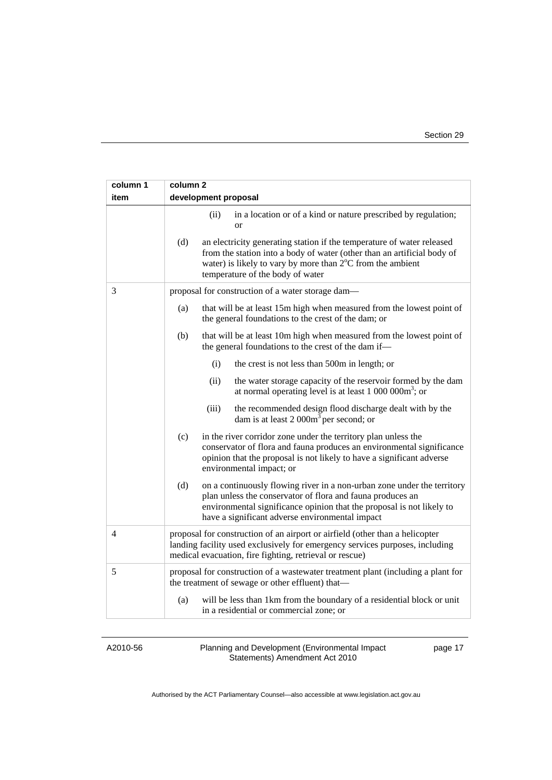| column 1 | column <sub>2</sub>                                                                                                                                                                                                                                                      |
|----------|--------------------------------------------------------------------------------------------------------------------------------------------------------------------------------------------------------------------------------------------------------------------------|
| item     | development proposal                                                                                                                                                                                                                                                     |
|          | (ii)<br>in a location or of a kind or nature prescribed by regulation;<br><sub>or</sub>                                                                                                                                                                                  |
|          | (d)<br>an electricity generating station if the temperature of water released<br>from the station into a body of water (other than an artificial body of<br>water) is likely to vary by more than $2^{\circ}$ C from the ambient<br>temperature of the body of water     |
| 3        | proposal for construction of a water storage dam—                                                                                                                                                                                                                        |
|          | (a)<br>that will be at least 15m high when measured from the lowest point of<br>the general foundations to the crest of the dam; or                                                                                                                                      |
|          | (b)<br>that will be at least 10m high when measured from the lowest point of<br>the general foundations to the crest of the dam if-                                                                                                                                      |
|          | (i)<br>the crest is not less than 500m in length; or                                                                                                                                                                                                                     |
|          | (ii)<br>the water storage capacity of the reservoir formed by the dam<br>at normal operating level is at least $1\ 000\ 000m^3$ ; or                                                                                                                                     |
|          | (iii)<br>the recommended design flood discharge dealt with by the<br>dam is at least $2000m3$ per second; or                                                                                                                                                             |
|          | in the river corridor zone under the territory plan unless the<br>(c)<br>conservator of flora and fauna produces an environmental significance<br>opinion that the proposal is not likely to have a significant adverse<br>environmental impact; or                      |
|          | (d)<br>on a continuously flowing river in a non-urban zone under the territory<br>plan unless the conservator of flora and fauna produces an<br>environmental significance opinion that the proposal is not likely to<br>have a significant adverse environmental impact |
| 4        | proposal for construction of an airport or airfield (other than a helicopter<br>landing facility used exclusively for emergency services purposes, including<br>medical evacuation, fire fighting, retrieval or rescue)                                                  |
| 5        | proposal for construction of a wastewater treatment plant (including a plant for<br>the treatment of sewage or other effluent) that-                                                                                                                                     |
|          | will be less than 1km from the boundary of a residential block or unit<br>(a)<br>in a residential or commercial zone; or                                                                                                                                                 |

A2010-56

Planning and Development (Environmental Impact Statements) Amendment Act 2010

page 17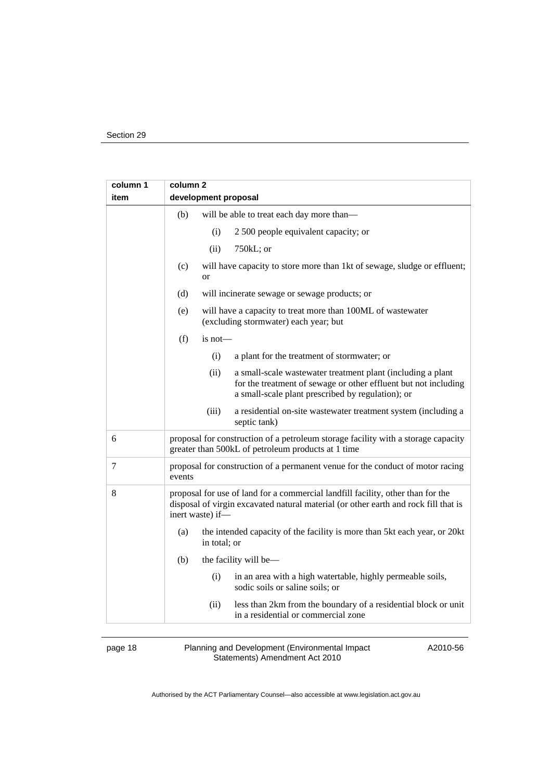| column 1       | column <sub>2</sub>                                                                                                                                                                         |
|----------------|---------------------------------------------------------------------------------------------------------------------------------------------------------------------------------------------|
| item           | development proposal                                                                                                                                                                        |
|                | (b)<br>will be able to treat each day more than-                                                                                                                                            |
|                | (i)<br>2 500 people equivalent capacity; or                                                                                                                                                 |
|                | (ii)<br>$750kL$ ; or                                                                                                                                                                        |
|                | (c)<br>will have capacity to store more than 1kt of sewage, sludge or effluent;<br><sub>or</sub>                                                                                            |
|                | (d)<br>will incinerate sewage or sewage products; or                                                                                                                                        |
|                | (e)<br>will have a capacity to treat more than 100ML of wastewater<br>(excluding stormwater) each year; but                                                                                 |
|                | (f)<br>$is not$ —                                                                                                                                                                           |
|                | (i)<br>a plant for the treatment of stormwater; or                                                                                                                                          |
|                | (ii)<br>a small-scale wastewater treatment plant (including a plant<br>for the treatment of sewage or other effluent but not including<br>a small-scale plant prescribed by regulation); or |
|                | (iii)<br>a residential on-site wastewater treatment system (including a<br>septic tank)                                                                                                     |
| 6              | proposal for construction of a petroleum storage facility with a storage capacity<br>greater than 500kL of petroleum products at 1 time                                                     |
| $\overline{7}$ | proposal for construction of a permanent venue for the conduct of motor racing<br>events                                                                                                    |
| 8              | proposal for use of land for a commercial landfill facility, other than for the<br>disposal of virgin excavated natural material (or other earth and rock fill that is<br>inert waste) if-  |
|                | (a)<br>the intended capacity of the facility is more than 5kt each year, or 20kt<br>in total; or                                                                                            |
|                | (b)<br>the facility will be—                                                                                                                                                                |
|                | (i)<br>in an area with a high watertable, highly permeable soils,<br>sodic soils or saline soils; or                                                                                        |
|                | less than 2km from the boundary of a residential block or unit<br>(ii)<br>in a residential or commercial zone                                                                               |

page 18 Planning and Development (Environmental Impact Statements) Amendment Act 2010

A2010-56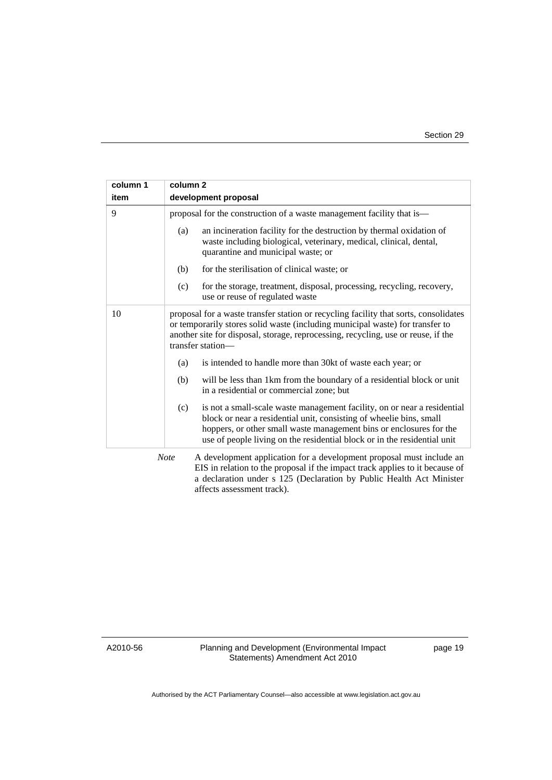| column 1 | column 2                                                                                                                                                                                                                                                                                                  |
|----------|-----------------------------------------------------------------------------------------------------------------------------------------------------------------------------------------------------------------------------------------------------------------------------------------------------------|
| item     | development proposal                                                                                                                                                                                                                                                                                      |
| 9        | proposal for the construction of a waste management facility that is—                                                                                                                                                                                                                                     |
|          | (a)<br>an incineration facility for the destruction by thermal oxidation of<br>waste including biological, veterinary, medical, clinical, dental,<br>quarantine and municipal waste; or                                                                                                                   |
|          | (b)<br>for the sterilisation of clinical waste; or                                                                                                                                                                                                                                                        |
|          | for the storage, treatment, disposal, processing, recycling, recovery,<br>(c)<br>use or reuse of regulated waste                                                                                                                                                                                          |
| 10       | proposal for a waste transfer station or recycling facility that sorts, consolidates<br>or temporarily stores solid waste (including municipal waste) for transfer to<br>another site for disposal, storage, reprocessing, recycling, use or reuse, if the<br>transfer station-                           |
|          | is intended to handle more than 30kt of waste each year; or<br>(a)                                                                                                                                                                                                                                        |
|          | will be less than 1km from the boundary of a residential block or unit<br>(b)<br>in a residential or commercial zone; but                                                                                                                                                                                 |
|          | is not a small-scale waste management facility, on or near a residential<br>(c)<br>block or near a residential unit, consisting of wheelie bins, small<br>hoppers, or other small waste management bins or enclosures for the<br>use of people living on the residential block or in the residential unit |
|          | <b>Note</b><br>A development application for a development proposal must include an<br>EIS in relation to the proposal if the impact track applies to it because of<br>a declaration under s 125 (Declaration by Public Health Act Minister<br>affects assessment track).                                 |

A2010-56

Planning and Development (Environmental Impact Statements) Amendment Act 2010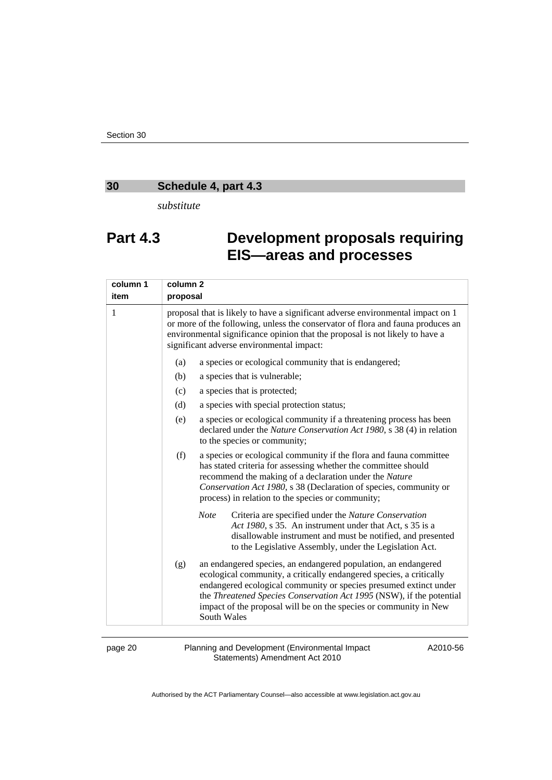# <span id="page-21-0"></span>**30 Schedule 4, part 4.3**

*substitute* 

# **Part 4.3 Development proposals requiring EIS—areas and processes**

| column 1 | column <sub>2</sub> |                                                                                                                                                                                                                                                                                                                                                                        |
|----------|---------------------|------------------------------------------------------------------------------------------------------------------------------------------------------------------------------------------------------------------------------------------------------------------------------------------------------------------------------------------------------------------------|
| item     | proposal            |                                                                                                                                                                                                                                                                                                                                                                        |
| 1        |                     | proposal that is likely to have a significant adverse environmental impact on 1<br>or more of the following, unless the conservator of flora and fauna produces an<br>environmental significance opinion that the proposal is not likely to have a<br>significant adverse environmental impact:                                                                        |
|          | (a)                 | a species or ecological community that is endangered;                                                                                                                                                                                                                                                                                                                  |
|          | (b)                 | a species that is vulnerable;                                                                                                                                                                                                                                                                                                                                          |
|          | (c)                 | a species that is protected;                                                                                                                                                                                                                                                                                                                                           |
|          | (d)                 | a species with special protection status;                                                                                                                                                                                                                                                                                                                              |
|          | (e)                 | a species or ecological community if a threatening process has been<br>declared under the Nature Conservation Act 1980, s 38 (4) in relation<br>to the species or community;                                                                                                                                                                                           |
|          | (f)                 | a species or ecological community if the flora and fauna committee<br>has stated criteria for assessing whether the committee should<br>recommend the making of a declaration under the Nature<br>Conservation Act 1980, s 38 (Declaration of species, community or<br>process) in relation to the species or community;                                               |
|          |                     | <b>Note</b><br>Criteria are specified under the Nature Conservation<br>Act 1980, s 35. An instrument under that Act, s 35 is a<br>disallowable instrument and must be notified, and presented<br>to the Legislative Assembly, under the Legislation Act.                                                                                                               |
|          | (g)                 | an endangered species, an endangered population, an endangered<br>ecological community, a critically endangered species, a critically<br>endangered ecological community or species presumed extinct under<br>the Threatened Species Conservation Act 1995 (NSW), if the potential<br>impact of the proposal will be on the species or community in New<br>South Wales |

page 20 Planning and Development (Environmental Impact Statements) Amendment Act 2010

A2010-56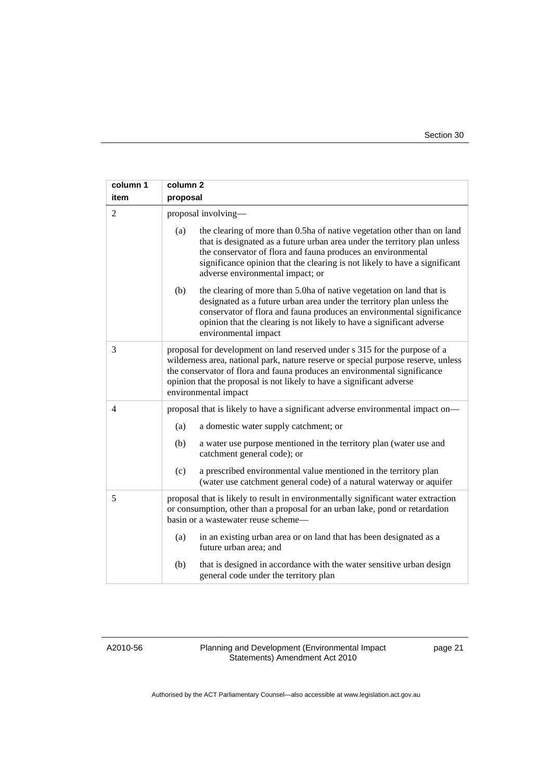| column 1<br>item | column <sub>2</sub><br>proposal                                                                                                                                                                                                                                                                                                               |
|------------------|-----------------------------------------------------------------------------------------------------------------------------------------------------------------------------------------------------------------------------------------------------------------------------------------------------------------------------------------------|
| $\overline{2}$   | proposal involving-                                                                                                                                                                                                                                                                                                                           |
|                  | (a)<br>the clearing of more than 0.5ha of native vegetation other than on land<br>that is designated as a future urban area under the territory plan unless<br>the conservator of flora and fauna produces an environmental<br>significance opinion that the clearing is not likely to have a significant<br>adverse environmental impact; or |
|                  | (b)<br>the clearing of more than 5.0ha of native vegetation on land that is<br>designated as a future urban area under the territory plan unless the<br>conservator of flora and fauna produces an environmental significance<br>opinion that the clearing is not likely to have a significant adverse<br>environmental impact                |
| 3                | proposal for development on land reserved under s 315 for the purpose of a<br>wilderness area, national park, nature reserve or special purpose reserve, unless<br>the conservator of flora and fauna produces an environmental significance<br>opinion that the proposal is not likely to have a significant adverse<br>environmental impact |
| 4                | proposal that is likely to have a significant adverse environmental impact on—                                                                                                                                                                                                                                                                |
|                  | (a)<br>a domestic water supply catchment; or                                                                                                                                                                                                                                                                                                  |
|                  | a water use purpose mentioned in the territory plan (water use and<br>(b)<br>catchment general code); or                                                                                                                                                                                                                                      |
|                  | (c)<br>a prescribed environmental value mentioned in the territory plan<br>(water use catchment general code) of a natural waterway or aquifer                                                                                                                                                                                                |
| 5                | proposal that is likely to result in environmentally significant water extraction<br>or consumption, other than a proposal for an urban lake, pond or retardation<br>basin or a wastewater reuse scheme—                                                                                                                                      |
|                  | in an existing urban area or on land that has been designated as a<br>(a)<br>future urban area; and                                                                                                                                                                                                                                           |
|                  | (b)<br>that is designed in accordance with the water sensitive urban design<br>general code under the territory plan                                                                                                                                                                                                                          |

A2010-56

Planning and Development (Environmental Impact Statements) Amendment Act 2010

page 21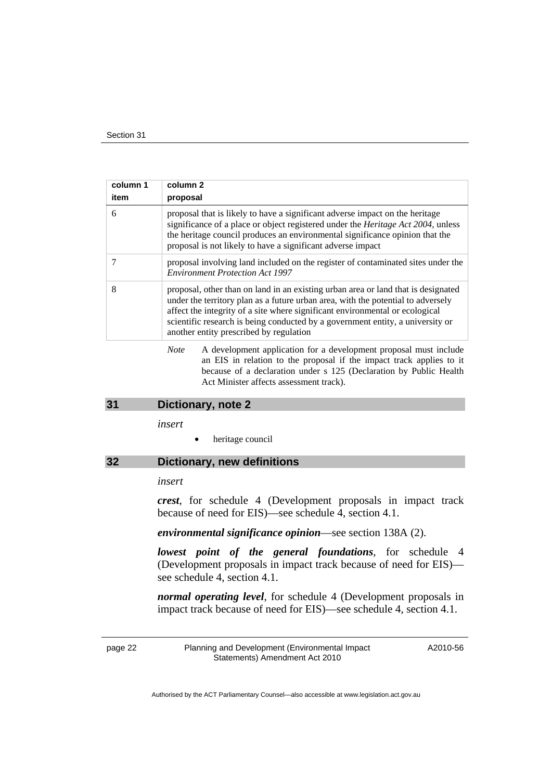<span id="page-23-0"></span>

| column 1<br>item | column 2<br>proposal                                                                                                                                                                                                                                                                                                                                                               |
|------------------|------------------------------------------------------------------------------------------------------------------------------------------------------------------------------------------------------------------------------------------------------------------------------------------------------------------------------------------------------------------------------------|
| 6                | proposal that is likely to have a significant adverse impact on the heritage<br>significance of a place or object registered under the <i>Heritage Act 2004</i> , unless<br>the heritage council produces an environmental significance opinion that the<br>proposal is not likely to have a significant adverse impact                                                            |
|                  | proposal involving land included on the register of contaminated sites under the<br><b>Environment Protection Act 1997</b>                                                                                                                                                                                                                                                         |
| 8                | proposal, other than on land in an existing urban area or land that is designated<br>under the territory plan as a future urban area, with the potential to adversely<br>affect the integrity of a site where significant environmental or ecological<br>scientific research is being conducted by a government entity, a university or<br>another entity prescribed by regulation |
|                  | A development application for a development proposal must include<br><b>Note</b>                                                                                                                                                                                                                                                                                                   |

an EIS in relation to the proposal if the impact track applies to it because of a declaration under s 125 (Declaration by Public Health Act Minister affects assessment track).

#### **31 Dictionary, note 2**

*insert* 

heritage council

### **32 Dictionary, new definitions**

#### *insert*

*crest*, for schedule 4 (Development proposals in impact track because of need for EIS)—see schedule 4, section 4.1.

#### *environmental significance opinion*—see section 138A (2).

*lowest point of the general foundations*, for schedule 4 (Development proposals in impact track because of need for EIS) see schedule 4, section 4.1.

*normal operating level*, for schedule 4 (Development proposals in impact track because of need for EIS)—see schedule 4, section 4.1.

page 22 Planning and Development (Environmental Impact Statements) Amendment Act 2010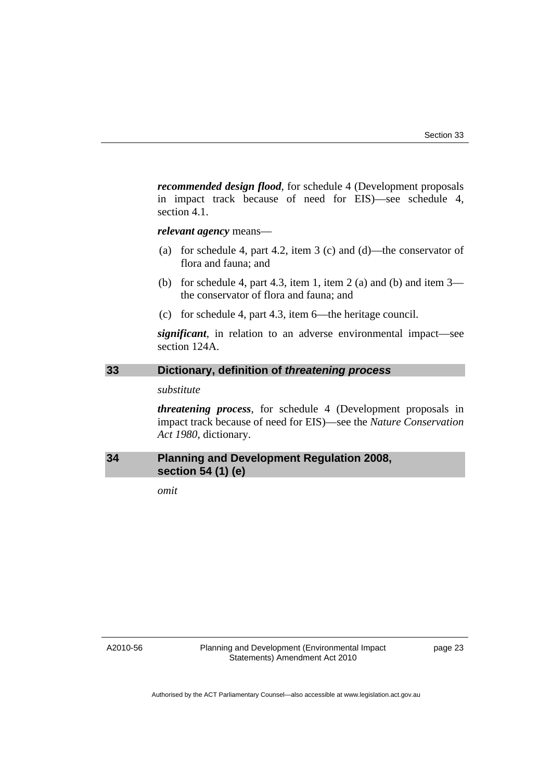<span id="page-24-0"></span>*recommended design flood*, for schedule 4 (Development proposals in impact track because of need for EIS)—see schedule 4, section 4.1.

*relevant agency* means—

- (a) for schedule 4, part 4.2, item 3 (c) and (d)—the conservator of flora and fauna; and
- (b) for schedule 4, part 4.3, item 1, item 2 (a) and (b) and item  $3$ the conservator of flora and fauna; and
- (c) for schedule 4, part 4.3, item 6—the heritage council.

*significant*, in relation to an adverse environmental impact—see section 124A.

## **33 Dictionary, definition of** *threatening process*

#### *substitute*

*threatening process*, for schedule 4 (Development proposals in impact track because of need for EIS)—see the *Nature Conservation Act 1980*, dictionary.

### **34 Planning and Development Regulation 2008, section 54 (1) (e)**

*omit* 

A2010-56